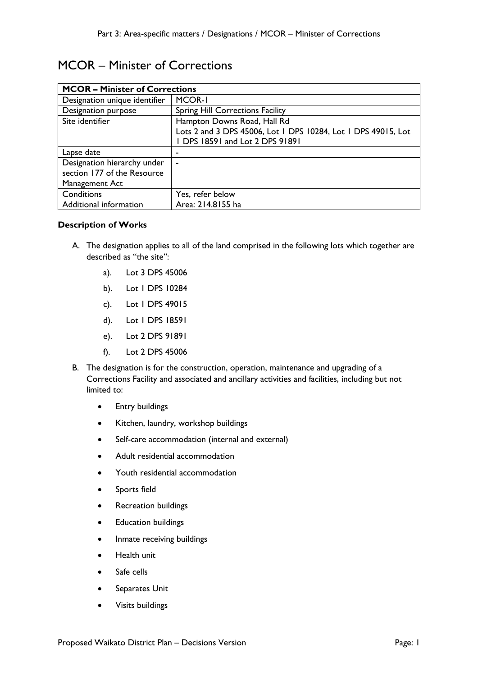# MCOR – Minister of Corrections

| <b>MCOR - Minister of Corrections</b> |                                                               |  |
|---------------------------------------|---------------------------------------------------------------|--|
| Designation unique identifier         | MCOR-I                                                        |  |
| Designation purpose                   | Spring Hill Corrections Facility                              |  |
| Site identifier                       | Hampton Downs Road, Hall Rd                                   |  |
|                                       | Lots 2 and 3 DPS 45006, Lot 1 DPS 10284, Lot 1 DPS 49015, Lot |  |
|                                       | 1 DPS 18591 and Lot 2 DPS 91891                               |  |
| Lapse date                            |                                                               |  |
| Designation hierarchy under           |                                                               |  |
| section 177 of the Resource           |                                                               |  |
| Management Act                        |                                                               |  |
| Conditions                            | Yes, refer below                                              |  |
| Additional information                | Area: 214.8155 ha                                             |  |

## **Description of Works**

- A. The designation applies to all of the land comprised in the following lots which together are described as "the site":
	- a). Lot 3 DPS 45006
	- b). Lot 1 DPS 10284
	- c). Lot 1 DPS 49015
	- d). Lot 1 DPS 18591
	- e). Lot 2 DPS 91891
	- f). Lot 2 DPS 45006
- B. The designation is for the construction, operation, maintenance and upgrading of a Corrections Facility and associated and ancillary activities and facilities, including but not limited to:
	- Entry buildings
	- Kitchen, laundry, workshop buildings
	- Self-care accommodation (internal and external)
	- Adult residential accommodation
	- Youth residential accommodation
	- Sports field
	- Recreation buildings
	- Education buildings
	- Inmate receiving buildings
	- Health unit
	- Safe cells
	- Separates Unit
	- Visits buildings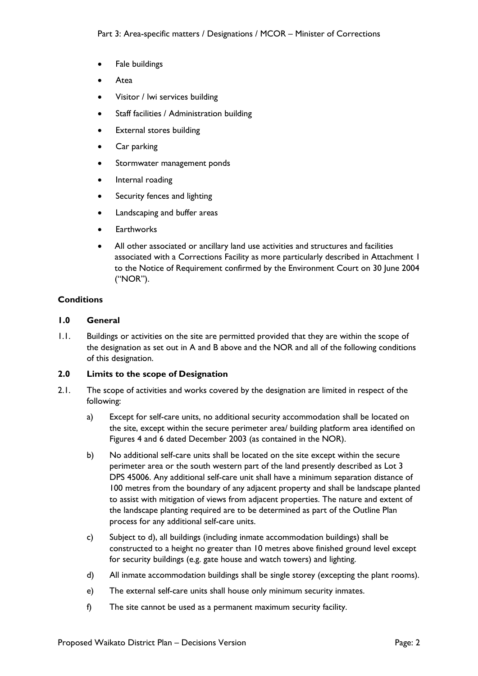- Fale buildings
- **Atea**
- Visitor / lwi services building
- Staff facilities / Administration building
- External stores building
- Car parking
- Stormwater management ponds
- Internal roading
- Security fences and lighting
- Landscaping and buffer areas
- **Earthworks**
- All other associated or ancillary land use activities and structures and facilities associated with a Corrections Facility as more particularly described in Attachment 1 to the Notice of Requirement confirmed by the Environment Court on 30 June 2004 ("NOR").

## **Conditions**

#### **1.0 General**

1.1. Buildings or activities on the site are permitted provided that they are within the scope of the designation as set out in A and B above and the NOR and all of the following conditions of this designation.

#### **2.0 Limits to the scope of Designation**

- 2.1. The scope of activities and works covered by the designation are limited in respect of the following:
	- a) Except for self-care units, no additional security accommodation shall be located on the site, except within the secure perimeter area/ building platform area identified on Figures 4 and 6 dated December 2003 (as contained in the NOR).
	- b) No additional self-care units shall be located on the site except within the secure perimeter area or the south western part of the land presently described as Lot 3 DPS 45006. Any additional self-care unit shall have a minimum separation distance of 100 metres from the boundary of any adjacent property and shall be landscape planted to assist with mitigation of views from adjacent properties. The nature and extent of the landscape planting required are to be determined as part of the Outline Plan process for any additional self-care units.
	- c) Subject to d), all buildings (including inmate accommodation buildings) shall be constructed to a height no greater than 10 metres above finished ground level except for security buildings (e.g. gate house and watch towers) and lighting.
	- d) All inmate accommodation buildings shall be single storey (excepting the plant rooms).
	- e) The external self-care units shall house only minimum security inmates.
	- f) The site cannot be used as a permanent maximum security facility.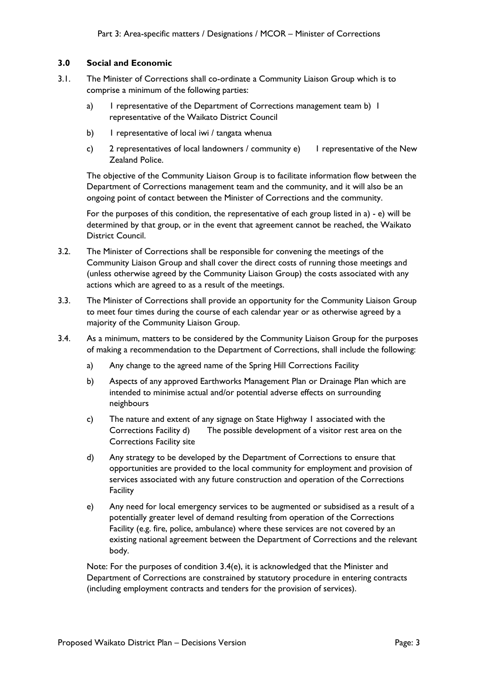## **3.0 Social and Economic**

- 3.1. The Minister of Corrections shall co-ordinate a Community Liaison Group which is to comprise a minimum of the following parties:
	- a) I representative of the Department of Corrections management team b) I representative of the Waikato District Council
	- b) I representative of local iwi / tangata whenua
	- c) 2 representatives of local landowners / community e) 1 representative of the New Zealand Police.

The objective of the Community Liaison Group is to facilitate information flow between the Department of Corrections management team and the community, and it will also be an ongoing point of contact between the Minister of Corrections and the community.

For the purposes of this condition, the representative of each group listed in a) - e) will be determined by that group, or in the event that agreement cannot be reached, the Waikato District Council.

- 3.2. The Minister of Corrections shall be responsible for convening the meetings of the Community Liaison Group and shall cover the direct costs of running those meetings and (unless otherwise agreed by the Community Liaison Group) the costs associated with any actions which are agreed to as a result of the meetings.
- 3.3. The Minister of Corrections shall provide an opportunity for the Community Liaison Group to meet four times during the course of each calendar year or as otherwise agreed by a majority of the Community Liaison Group.
- 3.4. As a minimum, matters to be considered by the Community Liaison Group for the purposes of making a recommendation to the Department of Corrections, shall include the following:
	- a) Any change to the agreed name of the Spring Hill Corrections Facility
	- b) Aspects of any approved Earthworks Management Plan or Drainage Plan which are intended to minimise actual and/or potential adverse effects on surrounding neighbours
	- c) The nature and extent of any signage on State Highway 1 associated with the Corrections Facility d) The possible development of a visitor rest area on the Corrections Facility site
	- d) Any strategy to be developed by the Department of Corrections to ensure that opportunities are provided to the local community for employment and provision of services associated with any future construction and operation of the Corrections **Facility**
	- e) Any need for local emergency services to be augmented or subsidised as a result of a potentially greater level of demand resulting from operation of the Corrections Facility (e.g. fire, police, ambulance) where these services are not covered by an existing national agreement between the Department of Corrections and the relevant body.

Note: For the purposes of condition 3.4(e), it is acknowledged that the Minister and Department of Corrections are constrained by statutory procedure in entering contracts (including employment contracts and tenders for the provision of services).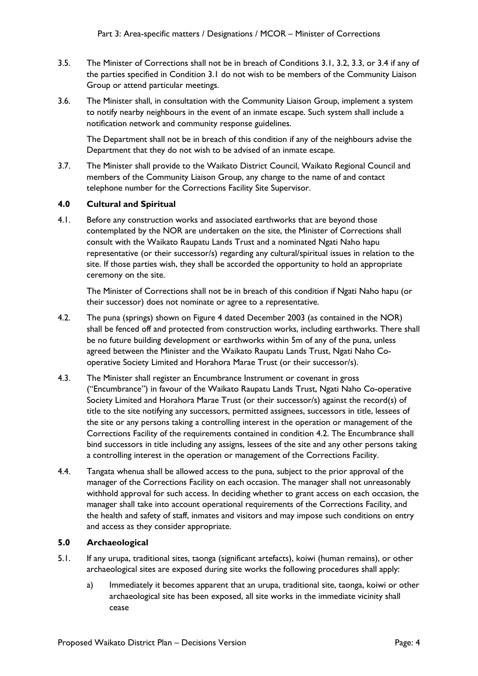- 3.5. The Minister of Corrections shall not be in breach of Conditions 3.1, 3.2, 3.3, or 3.4 if any of the parties specified in Condition 3.1 do not wish to be members of the Community Liaison Group or attend particular meetings.
- 3.6. The Minister shall, in consultation with the Community Liaison Group, implement a system to notify nearby neighbours in the event of an inmate escape. Such system shall include a notification network and community response guidelines.

The Department shall not be in breach of this condition if any of the neighbours advise the Department that they do not wish to be advised of an inmate escape.

3.7. The Minister shall provide to the Waikato District Council, Waikato Regional Council and members of the Community Liaison Group, any change to the name of and contact telephone number for the Corrections Facility Site Supervisor.

# **4.0 Cultural and Spiritual**

4.1. Before any construction works and associated earthworks that are beyond those contemplated by the NOR are undertaken on the site, the Minister of Corrections shall consult with the Waikato Raupatu Lands Trust and a nominated Ngati Naho hapu representative (or their successor/s) regarding any cultural/spiritual issues in relation to the site. If those parties wish, they shall be accorded the opportunity to hold an appropriate ceremony on the site.

The Minister of Corrections shall not be in breach of this condition if Ngati Naho hapu (or their successor) does not nominate or agree to a representative.

- 4.2. The puna (springs) shown on Figure 4 dated December 2003 (as contained in the NOR) shall be fenced off and protected from construction works, including earthworks. There shall be no future building development or earthworks within 5m of any of the puna, unless agreed between the Minister and the Waikato Raupatu Lands Trust, Ngati Naho Cooperative Society Limited and Horahora Marae Trust (or their successor/s).
- 4.3. The Minister shall register an Encumbrance Instrument or covenant in gross ("Encumbrance") in favour of the Waikato Raupatu Lands Trust, Ngati Naho Co-operative Society Limited and Horahora Marae Trust (or their successor/s) against the record(s) of title to the site notifying any successors, permitted assignees, successors in title, lessees of the site or any persons taking a controlling interest in the operation or management of the Corrections Facility of the requirements contained in condition 4.2. The Encumbrance shall bind successors in title including any assigns, lessees of the site and any other persons taking a controlling interest in the operation or management of the Corrections Facility.
- 4.4. Tangata whenua shall be allowed access to the puna, subject to the prior approval of the manager of the Corrections Facility on each occasion. The manager shall not unreasonably withhold approval for such access. In deciding whether to grant access on each occasion, the manager shall take into account operational requirements of the Corrections Facility, and the health and safety of staff, inmates and visitors and may impose such conditions on entry and access as they consider appropriate.

# **5.0 Archaeological**

- 5.1. If any urupa, traditional sites, taonga (significant artefacts), koiwi (human remains), or other archaeological sites are exposed during site works the following procedures shall apply:
	- a) Immediately it becomes apparent that an urupa, traditional site, taonga, koiwi or other archaeological site has been exposed, all site works in the immediate vicinity shall cease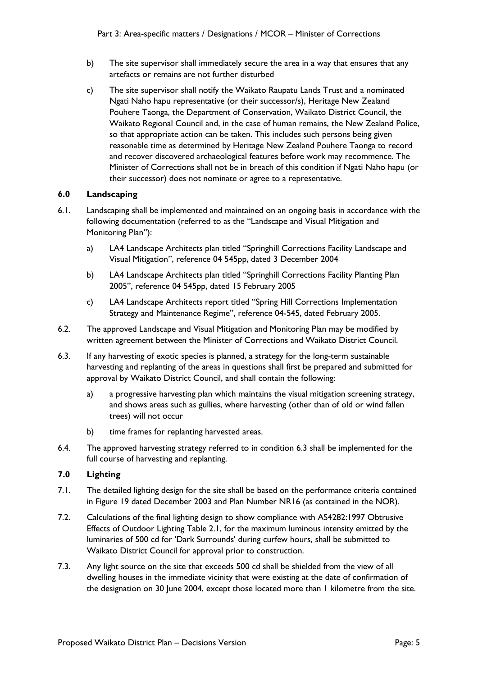- b) The site supervisor shall immediately secure the area in a way that ensures that any artefacts or remains are not further disturbed
- c) The site supervisor shall notify the Waikato Raupatu Lands Trust and a nominated Ngati Naho hapu representative (or their successor/s), Heritage New Zealand Pouhere Taonga, the Department of Conservation, Waikato District Council, the Waikato Regional Council and, in the case of human remains, the New Zealand Police, so that appropriate action can be taken. This includes such persons being given reasonable time as determined by Heritage New Zealand Pouhere Taonga to record and recover discovered archaeological features before work may recommence. The Minister of Corrections shall not be in breach of this condition if Ngati Naho hapu (or their successor) does not nominate or agree to a representative.

# **6.0 Landscaping**

- 6.1. Landscaping shall be implemented and maintained on an ongoing basis in accordance with the following documentation (referred to as the "Landscape and Visual Mitigation and Monitoring Plan"):
	- a) LA4 Landscape Architects plan titled "Springhill Corrections Facility Landscape and Visual Mitigation", reference 04 545pp, dated 3 December 2004
	- b) LA4 Landscape Architects plan titled "Springhill Corrections Facility Planting Plan 2005", reference 04 545pp, dated 15 February 2005
	- c) LA4 Landscape Architects report titled "Spring Hill Corrections Implementation Strategy and Maintenance Regime", reference 04-545, dated February 2005.
- 6.2. The approved Landscape and Visual Mitigation and Monitoring Plan may be modified by written agreement between the Minister of Corrections and Waikato District Council.
- 6.3. If any harvesting of exotic species is planned, a strategy for the long-term sustainable harvesting and replanting of the areas in questions shall first be prepared and submitted for approval by Waikato District Council, and shall contain the following:
	- a) a progressive harvesting plan which maintains the visual mitigation screening strategy, and shows areas such as gullies, where harvesting (other than of old or wind fallen trees) will not occur
	- b) time frames for replanting harvested areas.
- 6.4. The approved harvesting strategy referred to in condition 6.3 shall be implemented for the full course of harvesting and replanting.

# **7.0 Lighting**

- 7.1. The detailed lighting design for the site shall be based on the performance criteria contained in Figure 19 dated December 2003 and Plan Number NR16 (as contained in the NOR).
- 7.2. Calculations of the final lighting design to show compliance with AS4282:1997 Obtrusive Effects of Outdoor Lighting Table 2.1, for the maximum luminous intensity emitted by the luminaries of 500 cd for 'Dark Surrounds' during curfew hours, shall be submitted to Waikato District Council for approval prior to construction.
- 7.3. Any light source on the site that exceeds 500 cd shall be shielded from the view of all dwelling houses in the immediate vicinity that were existing at the date of confirmation of the designation on 30 June 2004, except those located more than 1 kilometre from the site.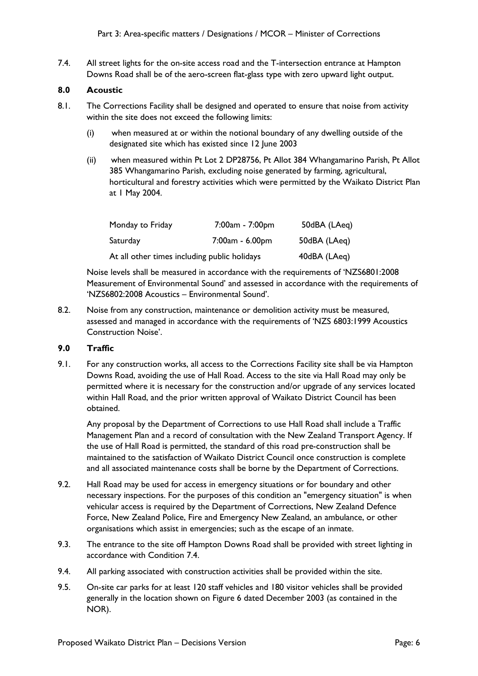7.4. All street lights for the on-site access road and the T-intersection entrance at Hampton Downs Road shall be of the aero-screen flat-glass type with zero upward light output.

# **8.0 Acoustic**

- 8.1. The Corrections Facility shall be designed and operated to ensure that noise from activity within the site does not exceed the following limits:
	- (i) when measured at or within the notional boundary of any dwelling outside of the designated site which has existed since 12 June 2003
	- (ii) when measured within Pt Lot 2 DP28756, Pt Allot 384 Whangamarino Parish, Pt Allot 385 Whangamarino Parish, excluding noise generated by farming, agricultural, horticultural and forestry activities which were permitted by the Waikato District Plan at 1 May 2004.

| Monday to Friday                             | 7:00am - 7:00pm | 50dBA (LAeq) |
|----------------------------------------------|-----------------|--------------|
| Saturday                                     | 7:00am - 6.00pm | 50dBA (LAeg) |
| At all other times including public holidays |                 | 40dBA (LAeq) |

Noise levels shall be measured in accordance with the requirements of 'NZS6801:2008 Measurement of Environmental Sound' and assessed in accordance with the requirements of 'NZS6802:2008 Acoustics – Environmental Sound'.

8.2. Noise from any construction, maintenance or demolition activity must be measured, assessed and managed in accordance with the requirements of 'NZS 6803:1999 Acoustics Construction Noise'.

# **9.0 Traffic**

9.1. For any construction works, all access to the Corrections Facility site shall be via Hampton Downs Road, avoiding the use of Hall Road. Access to the site via Hall Road may only be permitted where it is necessary for the construction and/or upgrade of any services located within Hall Road, and the prior written approval of Waikato District Council has been obtained.

Any proposal by the Department of Corrections to use Hall Road shall include a Traffic Management Plan and a record of consultation with the New Zealand Transport Agency. If the use of Hall Road is permitted, the standard of this road pre-construction shall be maintained to the satisfaction of Waikato District Council once construction is complete and all associated maintenance costs shall be borne by the Department of Corrections.

- 9.2. Hall Road may be used for access in emergency situations or for boundary and other necessary inspections. For the purposes of this condition an "emergency situation" is when vehicular access is required by the Department of Corrections, New Zealand Defence Force, New Zealand Police, Fire and Emergency New Zealand, an ambulance, or other organisations which assist in emergencies; such as the escape of an inmate.
- 9.3. The entrance to the site off Hampton Downs Road shall be provided with street lighting in accordance with Condition 7.4.
- 9.4. All parking associated with construction activities shall be provided within the site.
- 9.5. On-site car parks for at least 120 staff vehicles and 180 visitor vehicles shall be provided generally in the location shown on Figure 6 dated December 2003 (as contained in the NOR).